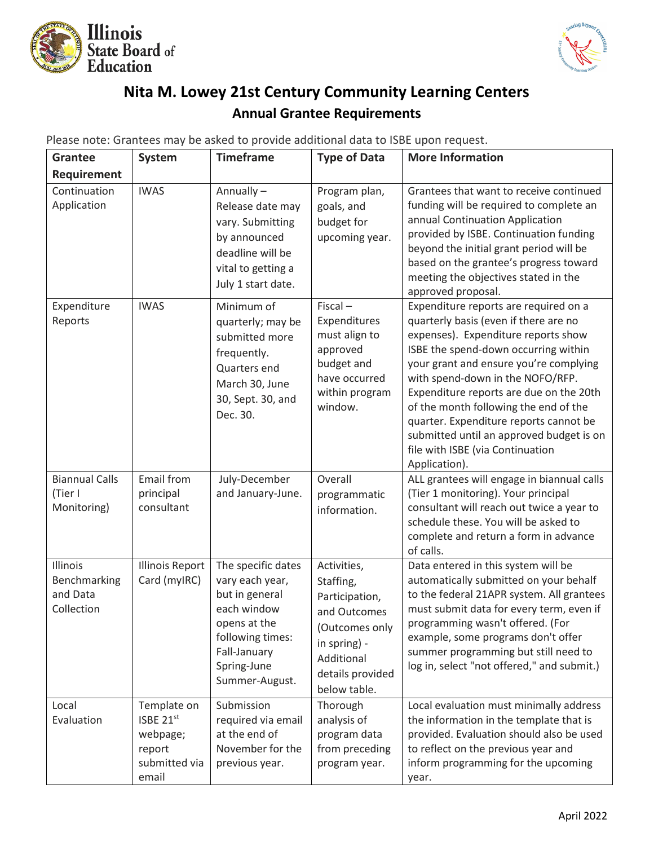



## **Nita M. Lowey 21st Century Community Learning Centers Annual Grantee Requirements**

Please note: Grantees may be asked to provide additional data to ISBE upon request.

| <b>Grantee</b>                                     | System                                                                   | <b>Timeframe</b>                                                                                                                                            | <b>Type of Data</b>                                                                                                                            | <b>More Information</b>                                                                                                                                                                                                                                                                                                                                                                                                                                                    |
|----------------------------------------------------|--------------------------------------------------------------------------|-------------------------------------------------------------------------------------------------------------------------------------------------------------|------------------------------------------------------------------------------------------------------------------------------------------------|----------------------------------------------------------------------------------------------------------------------------------------------------------------------------------------------------------------------------------------------------------------------------------------------------------------------------------------------------------------------------------------------------------------------------------------------------------------------------|
| Requirement                                        |                                                                          |                                                                                                                                                             |                                                                                                                                                |                                                                                                                                                                                                                                                                                                                                                                                                                                                                            |
| Continuation<br>Application                        | <b>IWAS</b>                                                              | Annually-<br>Release date may<br>vary. Submitting<br>by announced<br>deadline will be<br>vital to getting a<br>July 1 start date.                           | Program plan,<br>goals, and<br>budget for<br>upcoming year.                                                                                    | Grantees that want to receive continued<br>funding will be required to complete an<br>annual Continuation Application<br>provided by ISBE. Continuation funding<br>beyond the initial grant period will be<br>based on the grantee's progress toward<br>meeting the objectives stated in the<br>approved proposal.                                                                                                                                                         |
| Expenditure<br>Reports                             | <b>IWAS</b>                                                              | Minimum of<br>quarterly; may be<br>submitted more<br>frequently.<br>Quarters end<br>March 30, June<br>30, Sept. 30, and<br>Dec. 30.                         | $Fiscal -$<br>Expenditures<br>must align to<br>approved<br>budget and<br>have occurred<br>within program<br>window.                            | Expenditure reports are required on a<br>quarterly basis (even if there are no<br>expenses). Expenditure reports show<br>ISBE the spend-down occurring within<br>your grant and ensure you're complying<br>with spend-down in the NOFO/RFP.<br>Expenditure reports are due on the 20th<br>of the month following the end of the<br>quarter. Expenditure reports cannot be<br>submitted until an approved budget is on<br>file with ISBE (via Continuation<br>Application). |
| <b>Biannual Calls</b><br>(Tier I<br>Monitoring)    | Email from<br>principal<br>consultant                                    | July-December<br>and January-June.                                                                                                                          | Overall<br>programmatic<br>information.                                                                                                        | ALL grantees will engage in biannual calls<br>(Tier 1 monitoring). Your principal<br>consultant will reach out twice a year to<br>schedule these. You will be asked to<br>complete and return a form in advance<br>of calls.                                                                                                                                                                                                                                               |
| Illinois<br>Benchmarking<br>and Data<br>Collection | <b>Illinois Report</b><br>Card (myIRC)                                   | The specific dates<br>vary each year,<br>but in general<br>each window<br>opens at the<br>following times:<br>Fall-January<br>Spring-June<br>Summer-August. | Activities,<br>Staffing,<br>Participation,<br>and Outcomes<br>(Outcomes only<br>in spring) -<br>Additional<br>details provided<br>below table. | Data entered in this system will be<br>automatically submitted on your behalf<br>to the federal 21APR system. All grantees<br>must submit data for every term, even if<br>programming wasn't offered. (For<br>example, some programs don't offer<br>summer programming but still need to<br>log in, select "not offered," and submit.)                                                                                                                                     |
| Local<br>Evaluation                                | Template on<br>ISBE 21st<br>webpage;<br>report<br>submitted via<br>email | Submission<br>required via email<br>at the end of<br>November for the<br>previous year.                                                                     | Thorough<br>analysis of<br>program data<br>from preceding<br>program year.                                                                     | Local evaluation must minimally address<br>the information in the template that is<br>provided. Evaluation should also be used<br>to reflect on the previous year and<br>inform programming for the upcoming<br>year.                                                                                                                                                                                                                                                      |